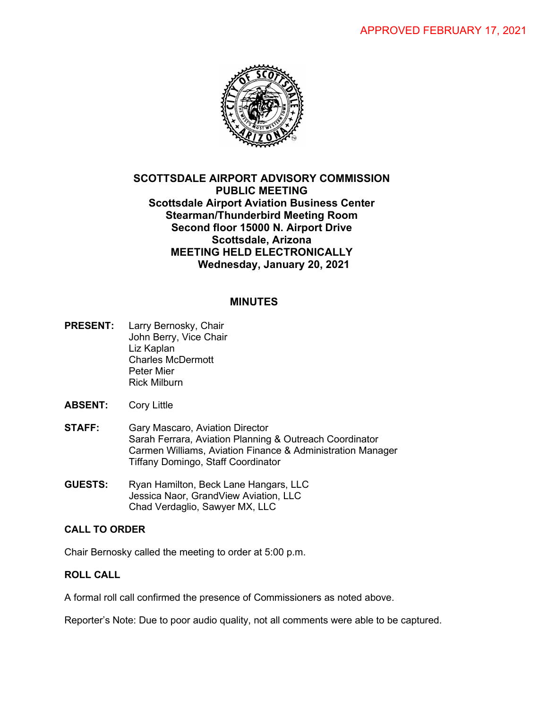

# **SCOTTSDALE AIRPORT ADVISORY COMMISSION PUBLIC MEETING Scottsdale Airport Aviation Business Center Stearman/Thunderbird Meeting Room Second floor 15000 N. Airport Drive Scottsdale, Arizona MEETING HELD ELECTRONICALLY Wednesday, January 20, 2021**

# **MINUTES**

- **PRESENT:** Larry Bernosky, Chair John Berry, Vice Chair Liz Kaplan Charles McDermott Peter Mier Rick Milburn
- **ABSENT:** Cory Little
- **STAFF:** Gary Mascaro, Aviation Director Sarah Ferrara, Aviation Planning & Outreach Coordinator Carmen Williams, Aviation Finance & Administration Manager Tiffany Domingo, Staff Coordinator
- **GUESTS:** Ryan Hamilton, Beck Lane Hangars, LLC Jessica Naor, GrandView Aviation, LLC Chad Verdaglio, Sawyer MX, LLC

## **CALL TO ORDER**

Chair Bernosky called the meeting to order at 5:00 p.m.

## **ROLL CALL**

A formal roll call confirmed the presence of Commissioners as noted above.

Reporter's Note: Due to poor audio quality, not all comments were able to be captured.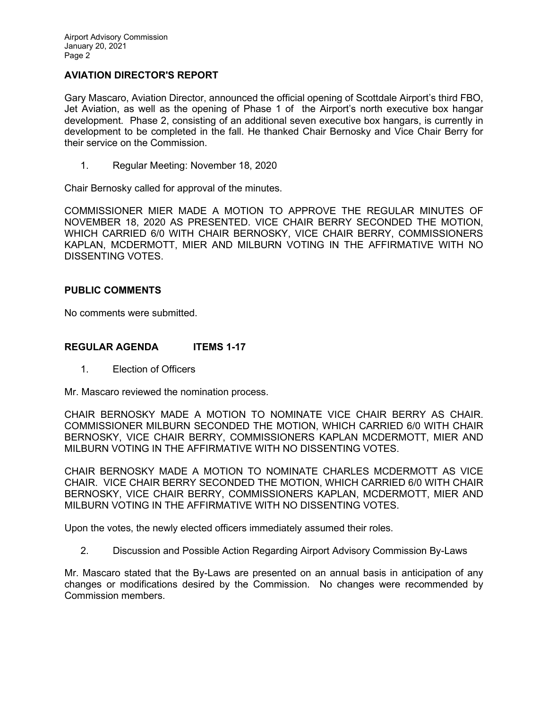### **AVIATION DIRECTOR'S REPORT**

Gary Mascaro, Aviation Director, announced the official opening of Scottdale Airport's third FBO, Jet Aviation, as well as the opening of Phase 1 of the Airport's north executive box hangar development. Phase 2, consisting of an additional seven executive box hangars, is currently in development to be completed in the fall. He thanked Chair Bernosky and Vice Chair Berry for their service on the Commission.

1. Regular Meeting: November 18, 2020

Chair Bernosky called for approval of the minutes.

COMMISSIONER MIER MADE A MOTION TO APPROVE THE REGULAR MINUTES OF NOVEMBER 18, 2020 AS PRESENTED. VICE CHAIR BERRY SECONDED THE MOTION, WHICH CARRIED 6/0 WITH CHAIR BERNOSKY, VICE CHAIR BERRY, COMMISSIONERS KAPLAN, MCDERMOTT, MIER AND MILBURN VOTING IN THE AFFIRMATIVE WITH NO DISSENTING VOTES.

#### **PUBLIC COMMENTS**

No comments were submitted.

### **REGULAR AGENDA ITEMS 1-17**

1. Election of Officers

Mr. Mascaro reviewed the nomination process.

CHAIR BERNOSKY MADE A MOTION TO NOMINATE VICE CHAIR BERRY AS CHAIR. COMMISSIONER MILBURN SECONDED THE MOTION, WHICH CARRIED 6/0 WITH CHAIR BERNOSKY, VICE CHAIR BERRY, COMMISSIONERS KAPLAN MCDERMOTT, MIER AND MILBURN VOTING IN THE AFFIRMATIVE WITH NO DISSENTING VOTES.

CHAIR BERNOSKY MADE A MOTION TO NOMINATE CHARLES MCDERMOTT AS VICE CHAIR. VICE CHAIR BERRY SECONDED THE MOTION, WHICH CARRIED 6/0 WITH CHAIR BERNOSKY, VICE CHAIR BERRY, COMMISSIONERS KAPLAN, MCDERMOTT, MIER AND MILBURN VOTING IN THE AFFIRMATIVE WITH NO DISSENTING VOTES.

Upon the votes, the newly elected officers immediately assumed their roles.

2. Discussion and Possible Action Regarding Airport Advisory Commission By-Laws

Mr. Mascaro stated that the By-Laws are presented on an annual basis in anticipation of any changes or modifications desired by the Commission. No changes were recommended by Commission members.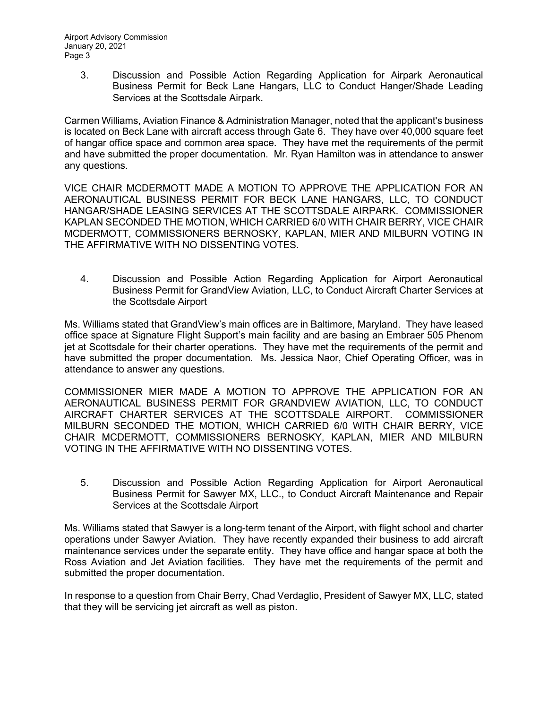3. Discussion and Possible Action Regarding Application for Airpark Aeronautical Business Permit for Beck Lane Hangars, LLC to Conduct Hanger/Shade Leading Services at the Scottsdale Airpark.

Carmen Williams, Aviation Finance & Administration Manager, noted that the applicant's business is located on Beck Lane with aircraft access through Gate 6. They have over 40,000 square feet of hangar office space and common area space. They have met the requirements of the permit and have submitted the proper documentation. Mr. Ryan Hamilton was in attendance to answer any questions.

VICE CHAIR MCDERMOTT MADE A MOTION TO APPROVE THE APPLICATION FOR AN AERONAUTICAL BUSINESS PERMIT FOR BECK LANE HANGARS, LLC, TO CONDUCT HANGAR/SHADE LEASING SERVICES AT THE SCOTTSDALE AIRPARK. COMMISSIONER KAPLAN SECONDED THE MOTION, WHICH CARRIED 6/0 WITH CHAIR BERRY, VICE CHAIR MCDERMOTT, COMMISSIONERS BERNOSKY, KAPLAN, MIER AND MILBURN VOTING IN THE AFFIRMATIVE WITH NO DISSENTING VOTES.

4. Discussion and Possible Action Regarding Application for Airport Aeronautical Business Permit for GrandView Aviation, LLC, to Conduct Aircraft Charter Services at the Scottsdale Airport

Ms. Williams stated that GrandView's main offices are in Baltimore, Maryland. They have leased office space at Signature Flight Support's main facility and are basing an Embraer 505 Phenom jet at Scottsdale for their charter operations. They have met the requirements of the permit and have submitted the proper documentation. Ms. Jessica Naor, Chief Operating Officer, was in attendance to answer any questions.

COMMISSIONER MIER MADE A MOTION TO APPROVE THE APPLICATION FOR AN AERONAUTICAL BUSINESS PERMIT FOR GRANDVIEW AVIATION, LLC, TO CONDUCT AIRCRAFT CHARTER SERVICES AT THE SCOTTSDALE AIRPORT. COMMISSIONER MILBURN SECONDED THE MOTION, WHICH CARRIED 6/0 WITH CHAIR BERRY, VICE CHAIR MCDERMOTT, COMMISSIONERS BERNOSKY, KAPLAN, MIER AND MILBURN VOTING IN THE AFFIRMATIVE WITH NO DISSENTING VOTES.

5. Discussion and Possible Action Regarding Application for Airport Aeronautical Business Permit for Sawyer MX, LLC., to Conduct Aircraft Maintenance and Repair Services at the Scottsdale Airport

Ms. Williams stated that Sawyer is a long-term tenant of the Airport, with flight school and charter operations under Sawyer Aviation. They have recently expanded their business to add aircraft maintenance services under the separate entity. They have office and hangar space at both the Ross Aviation and Jet Aviation facilities. They have met the requirements of the permit and submitted the proper documentation.

In response to a question from Chair Berry, Chad Verdaglio, President of Sawyer MX, LLC, stated that they will be servicing jet aircraft as well as piston.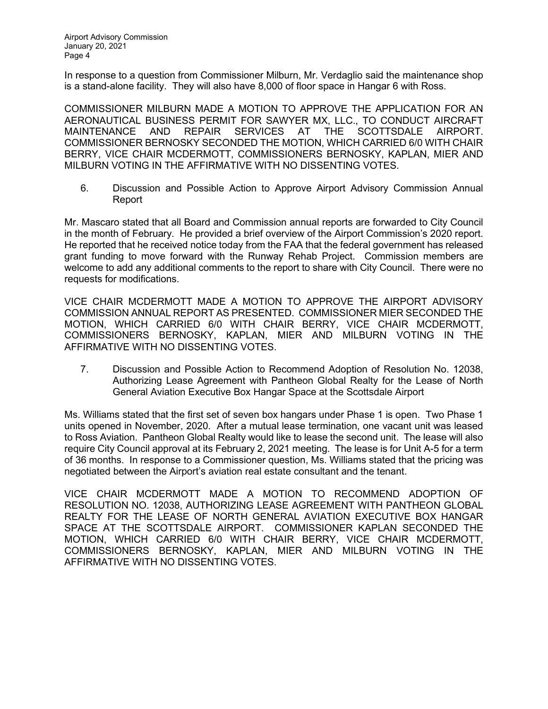In response to a question from Commissioner Milburn, Mr. Verdaglio said the maintenance shop is a stand-alone facility. They will also have 8,000 of floor space in Hangar 6 with Ross.

COMMISSIONER MILBURN MADE A MOTION TO APPROVE THE APPLICATION FOR AN AERONAUTICAL BUSINESS PERMIT FOR SAWYER MX, LLC., TO CONDUCT AIRCRAFT MAINTENANCE AND REPAIR SERVICES AT THE SCOTTSDALE AIRPORT. COMMISSIONER BERNOSKY SECONDED THE MOTION, WHICH CARRIED 6/0 WITH CHAIR BERRY, VICE CHAIR MCDERMOTT, COMMISSIONERS BERNOSKY, KAPLAN, MIER AND MILBURN VOTING IN THE AFFIRMATIVE WITH NO DISSENTING VOTES.

6. Discussion and Possible Action to Approve Airport Advisory Commission Annual Report

Mr. Mascaro stated that all Board and Commission annual reports are forwarded to City Council in the month of February. He provided a brief overview of the Airport Commission's 2020 report. He reported that he received notice today from the FAA that the federal government has released grant funding to move forward with the Runway Rehab Project. Commission members are welcome to add any additional comments to the report to share with City Council. There were no requests for modifications.

VICE CHAIR MCDERMOTT MADE A MOTION TO APPROVE THE AIRPORT ADVISORY COMMISSION ANNUAL REPORT AS PRESENTED. COMMISSIONER MIER SECONDED THE MOTION, WHICH CARRIED 6/0 WITH CHAIR BERRY, VICE CHAIR MCDERMOTT, COMMISSIONERS BERNOSKY, KAPLAN, MIER AND MILBURN VOTING IN THE AFFIRMATIVE WITH NO DISSENTING VOTES.

7. Discussion and Possible Action to Recommend Adoption of Resolution No. 12038, Authorizing Lease Agreement with Pantheon Global Realty for the Lease of North General Aviation Executive Box Hangar Space at the Scottsdale Airport

Ms. Williams stated that the first set of seven box hangars under Phase 1 is open. Two Phase 1 units opened in November, 2020. After a mutual lease termination, one vacant unit was leased to Ross Aviation. Pantheon Global Realty would like to lease the second unit. The lease will also require City Council approval at its February 2, 2021 meeting. The lease is for Unit A-5 for a term of 36 months. In response to a Commissioner question, Ms. Williams stated that the pricing was negotiated between the Airport's aviation real estate consultant and the tenant.

VICE CHAIR MCDERMOTT MADE A MOTION TO RECOMMEND ADOPTION OF RESOLUTION NO. 12038, AUTHORIZING LEASE AGREEMENT WITH PANTHEON GLOBAL REALTY FOR THE LEASE OF NORTH GENERAL AVIATION EXECUTIVE BOX HANGAR SPACE AT THE SCOTTSDALE AIRPORT. COMMISSIONER KAPLAN SECONDED THE MOTION, WHICH CARRIED 6/0 WITH CHAIR BERRY, VICE CHAIR MCDERMOTT, COMMISSIONERS BERNOSKY, KAPLAN, MIER AND MILBURN VOTING IN THE AFFIRMATIVE WITH NO DISSENTING VOTES.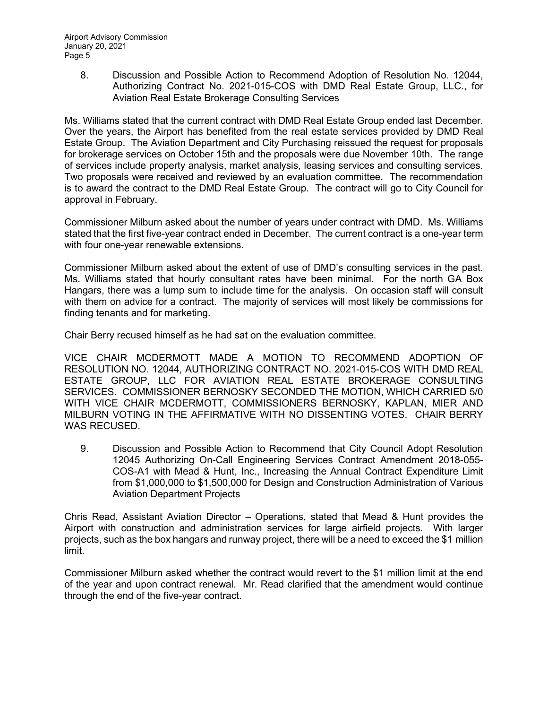8. Discussion and Possible Action to Recommend Adoption of Resolution No. 12044, Authorizing Contract No. 2021-015-COS with DMD Real Estate Group, LLC., for Aviation Real Estate Brokerage Consulting Services

Ms. Williams stated that the current contract with DMD Real Estate Group ended last December. Over the years, the Airport has benefited from the real estate services provided by DMD Real Estate Group. The Aviation Department and City Purchasing reissued the request for proposals for brokerage services on October 15th and the proposals were due November 10th. The range of services include property analysis, market analysis, leasing services and consulting services. Two proposals were received and reviewed by an evaluation committee. The recommendation is to award the contract to the DMD Real Estate Group. The contract will go to City Council for approval in February.

Commissioner Milburn asked about the number of years under contract with DMD. Ms. Williams stated that the first five-year contract ended in December. The current contract is a one-year term with four one-year renewable extensions.

Commissioner Milburn asked about the extent of use of DMD's consulting services in the past. Ms. Williams stated that hourly consultant rates have been minimal. For the north GA Box Hangars, there was a lump sum to include time for the analysis. On occasion staff will consult with them on advice for a contract. The majority of services will most likely be commissions for finding tenants and for marketing.

Chair Berry recused himself as he had sat on the evaluation committee.

VICE CHAIR MCDERMOTT MADE A MOTION TO RECOMMEND ADOPTION OF RESOLUTION NO. 12044, AUTHORIZING CONTRACT NO. 2021-015-COS WITH DMD REAL ESTATE GROUP, LLC FOR AVIATION REAL ESTATE BROKERAGE CONSULTING SERVICES. COMMISSIONER BERNOSKY SECONDED THE MOTION, WHICH CARRIED 5/0 WITH VICE CHAIR MCDERMOTT, COMMISSIONERS BERNOSKY, KAPLAN, MIER AND MILBURN VOTING IN THE AFFIRMATIVE WITH NO DISSENTING VOTES. CHAIR BERRY WAS RECUSED.

9. Discussion and Possible Action to Recommend that City Council Adopt Resolution 12045 Authorizing On-Call Engineering Services Contract Amendment 2018-055- COS-A1 with Mead & Hunt, Inc., Increasing the Annual Contract Expenditure Limit from \$1,000,000 to \$1,500,000 for Design and Construction Administration of Various Aviation Department Projects

Chris Read, Assistant Aviation Director – Operations, stated that Mead & Hunt provides the Airport with construction and administration services for large airfield projects. With larger projects, such as the box hangars and runway project, there will be a need to exceed the \$1 million limit.

Commissioner Milburn asked whether the contract would revert to the \$1 million limit at the end of the year and upon contract renewal. Mr. Read clarified that the amendment would continue through the end of the five-year contract.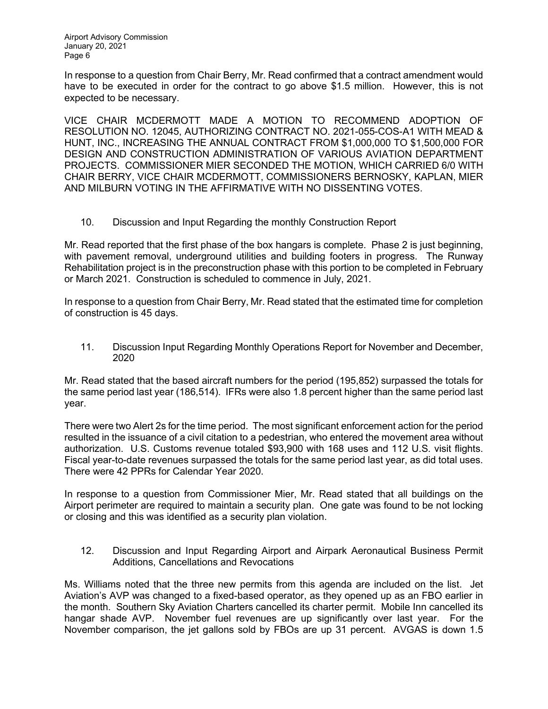Airport Advisory Commission January 20, 2021 Page 6

In response to a question from Chair Berry, Mr. Read confirmed that a contract amendment would have to be executed in order for the contract to go above \$1.5 million. However, this is not expected to be necessary.

VICE CHAIR MCDERMOTT MADE A MOTION TO RECOMMEND ADOPTION OF RESOLUTION NO. 12045, AUTHORIZING CONTRACT NO. 2021-055-COS-A1 WITH MEAD & HUNT, INC., INCREASING THE ANNUAL CONTRACT FROM \$1,000,000 TO \$1,500,000 FOR DESIGN AND CONSTRUCTION ADMINISTRATION OF VARIOUS AVIATION DEPARTMENT PROJECTS. COMMISSIONER MIER SECONDED THE MOTION, WHICH CARRIED 6/0 WITH CHAIR BERRY, VICE CHAIR MCDERMOTT, COMMISSIONERS BERNOSKY, KAPLAN, MIER AND MILBURN VOTING IN THE AFFIRMATIVE WITH NO DISSENTING VOTES.

10. Discussion and Input Regarding the monthly Construction Report

Mr. Read reported that the first phase of the box hangars is complete. Phase 2 is just beginning, with pavement removal, underground utilities and building footers in progress. The Runway Rehabilitation project is in the preconstruction phase with this portion to be completed in February or March 2021. Construction is scheduled to commence in July, 2021.

In response to a question from Chair Berry, Mr. Read stated that the estimated time for completion of construction is 45 days.

11. Discussion Input Regarding Monthly Operations Report for November and December, 2020

Mr. Read stated that the based aircraft numbers for the period (195,852) surpassed the totals for the same period last year (186,514). IFRs were also 1.8 percent higher than the same period last year.

There were two Alert 2s for the time period. The most significant enforcement action for the period resulted in the issuance of a civil citation to a pedestrian, who entered the movement area without authorization. U.S. Customs revenue totaled \$93,900 with 168 uses and 112 U.S. visit flights. Fiscal year-to-date revenues surpassed the totals for the same period last year, as did total uses. There were 42 PPRs for Calendar Year 2020.

In response to a question from Commissioner Mier, Mr. Read stated that all buildings on the Airport perimeter are required to maintain a security plan. One gate was found to be not locking or closing and this was identified as a security plan violation.

12. Discussion and Input Regarding Airport and Airpark Aeronautical Business Permit Additions, Cancellations and Revocations

Ms. Williams noted that the three new permits from this agenda are included on the list. Jet Aviation's AVP was changed to a fixed-based operator, as they opened up as an FBO earlier in the month. Southern Sky Aviation Charters cancelled its charter permit. Mobile Inn cancelled its hangar shade AVP. November fuel revenues are up significantly over last year. For the November comparison, the jet gallons sold by FBOs are up 31 percent. AVGAS is down 1.5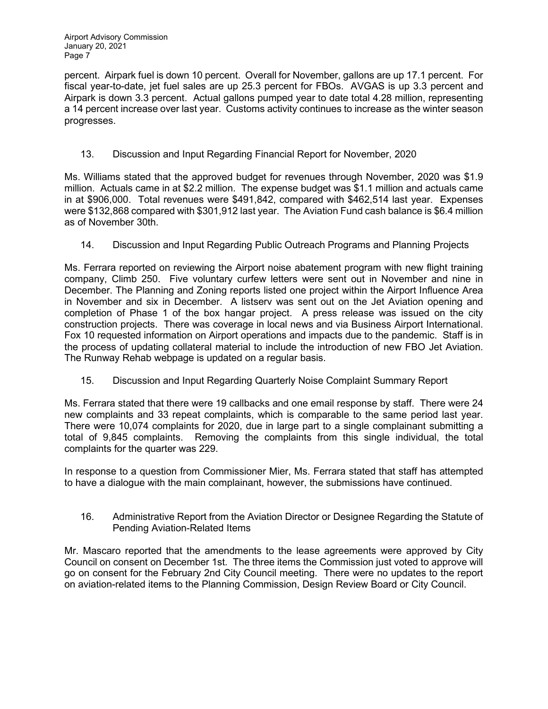percent. Airpark fuel is down 10 percent. Overall for November, gallons are up 17.1 percent. For fiscal year-to-date, jet fuel sales are up 25.3 percent for FBOs. AVGAS is up 3.3 percent and Airpark is down 3.3 percent. Actual gallons pumped year to date total 4.28 million, representing a 14 percent increase over last year. Customs activity continues to increase as the winter season progresses.

13. Discussion and Input Regarding Financial Report for November, 2020

Ms. Williams stated that the approved budget for revenues through November, 2020 was \$1.9 million. Actuals came in at \$2.2 million. The expense budget was \$1.1 million and actuals came in at \$906,000. Total revenues were \$491,842, compared with \$462,514 last year. Expenses were \$132,868 compared with \$301,912 last year. The Aviation Fund cash balance is \$6.4 million as of November 30th.

14. Discussion and Input Regarding Public Outreach Programs and Planning Projects

Ms. Ferrara reported on reviewing the Airport noise abatement program with new flight training company, Climb 250. Five voluntary curfew letters were sent out in November and nine in December. The Planning and Zoning reports listed one project within the Airport Influence Area in November and six in December. A listserv was sent out on the Jet Aviation opening and completion of Phase 1 of the box hangar project. A press release was issued on the city construction projects. There was coverage in local news and via Business Airport International. Fox 10 requested information on Airport operations and impacts due to the pandemic. Staff is in the process of updating collateral material to include the introduction of new FBO Jet Aviation. The Runway Rehab webpage is updated on a regular basis.

15. Discussion and Input Regarding Quarterly Noise Complaint Summary Report

Ms. Ferrara stated that there were 19 callbacks and one email response by staff. There were 24 new complaints and 33 repeat complaints, which is comparable to the same period last year. There were 10,074 complaints for 2020, due in large part to a single complainant submitting a total of 9,845 complaints. Removing the complaints from this single individual, the total complaints for the quarter was 229.

In response to a question from Commissioner Mier, Ms. Ferrara stated that staff has attempted to have a dialogue with the main complainant, however, the submissions have continued.

16. Administrative Report from the Aviation Director or Designee Regarding the Statute of Pending Aviation-Related Items

Mr. Mascaro reported that the amendments to the lease agreements were approved by City Council on consent on December 1st. The three items the Commission just voted to approve will go on consent for the February 2nd City Council meeting. There were no updates to the report on aviation-related items to the Planning Commission, Design Review Board or City Council.